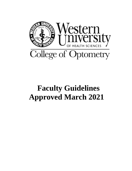

# **Faculty Guidelines Approved March 2021**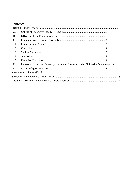# Contents

| A.             |                                                                                    |   |
|----------------|------------------------------------------------------------------------------------|---|
| <b>B.</b>      |                                                                                    |   |
| $\mathbf{C}$ . |                                                                                    |   |
| 1.             |                                                                                    |   |
| 2.             |                                                                                    |   |
| 3.             |                                                                                    |   |
| 4.             |                                                                                    |   |
| 5.             |                                                                                    |   |
| D.             | Representation to the University's Academic Senate and other University Committees | 9 |
| E.             |                                                                                    |   |
|                |                                                                                    |   |
|                |                                                                                    |   |
|                |                                                                                    |   |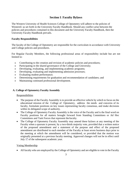# **Section I**: **Faculty Bylaws**

<span id="page-2-0"></span>The Western University of Health Sciences College of Optometry will adhere to the policies of WesternU as set forth in the University Faculty Handbook. Should any conflict arise between the policies and procedures contained in this document and the University Faculty Handbook, then the University Faculty Handbook prevails.

## **Faculty Responsibilities**

The faculty of the College of Optometry are responsible for the curriculum in accordance with University and College policies and procedures.

For Regular Faculty Members, the following professional areas of responsibility include but are not limited to:

- Contributing to the creation and revision of academic policies and procedures;
- Participating in the shared governance of the College and University;
- Developing, evaluating, and implementing academic programs;
- Developing, evaluating and implementing admission processes;
- Evaluating student performance;
- Determining requirements for graduation and recommendation of candidates; and
- Maintaining continued professional development.

# <span id="page-2-1"></span>**A. College of Optometry Faculty Assembly**

## **Responsibilities**

- The purpose of the Faculty Assembly is to provide an effective vehicle by which to focus on the educational mission of the College of Optometry, address the needs and concerns of its faculty, formulate positions on key issues representing faculty consensus, and make decisions within its delegated scope of authority.
- The College of Optometry Faculty Assembly is the voice of the Faculty and is the final word on Faculty positions for all matters brought forward from Standing Committees or Ad Hoc Committees and Task Forces that represent the faculty.
- The College of Optometry Faculty Assembly may amend these bylaws at any meeting of the Faculty when a quorum is present, by a two-thirds majority vote, provided that a written notice of the proposed amendment and a statement of the purpose and effect of the proposed amendment are distributed to each member of the Faculty at least seven business days prior to the meeting at which the amendment will be considered, or provided that the motion was originally presented at a previous faculty meeting. Approved changes will not be in effect until July  $1<sup>st</sup>$  of the subsequent academic year.

## Voting Membership

• All faculty who are employed by the College of Optometry and are eligible to vote in the Faculty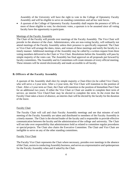Assembly of the University will have the right to vote in the College of Optometry Faculty Assembly and will be eligible to serve on standing committees and ad hoc task forces.

• A quorum of the College of Optometry Faculty Assembly shall require the presence of 50% or more of those eligible to vote; for electronic votes, a quorum is to be assumed since all voting faculty have the opportunity to participate.

#### Meetings of the Faculty Assembly

The Chair of the Faculty will preside over meetings of the Faculty Assembly. The Vice Chair will preside in the absence of the chair. Administrators, who are non-voting faculty, will ordinarily not attend meetings of the Faculty Assembly unless their presence is specifically requested. The Chair or Vice-Chair will arrange the dates, times, and venues of these meetings and notify the faculty in a timely manner. Additional meetings of the Assembly may be called by a written request from three voting members delivered to the Chair or Vice Chair. Resolutions before the Assembly will pass by simple majority of the votes cast. The Assembly has final approval on all proposals put forward by faculty committees. The Assembly and its Committees will create minutes of every official meeting. These minutes will be stored electronically and made accessible to all faculty.

### <span id="page-3-0"></span>**B. Officers of the Faculty Assembly**

A quorum of the Assembly shall elect by simple majority a Chair-Elect (to be called Vice Chair), who will serve a 2-year term. After a 2-year term, the Vice Chair will transition to the position of Chair. After a 2-year term as Chair, the Chair will transition to the position of Immediate Past Chair for an additional two years. If either the Vice Chair or Chair are unable to complete their term of service, an interim Vice Chair/Chair may be elected to complete the term. In the event that the Faculty Chair takes a leave of absence, an interim chair will be elected by the faculty for the duration of the leave.

#### Faculty Chair

The Faculty Chair will call and chair Faculty Assembly meetings and see that minutes of each meeting of the Faculty Assembly are taken and distributed to members of the Faculty Assembly in a timely manner. The Chair is the elected leader of the faculty and is responsible to provide effective communication between the faculty and the administration of the college and university. The Chair will not take over responsibility that administrators hold as related to committee regular procedures or special projects. The Chair also chairs the Executive Committee. The Chair and Vice Chair are ineligible to serve on any of the other standing committees.

#### Faculty Vice Chair

The Faculty Vice Chair represents the Chair where necessary, presides over meetings in the absence oftheChair, assistsin conductingAssembly business, and serves as a representative and spokesperson for the Faculty Assembly when and if asked by the Chair.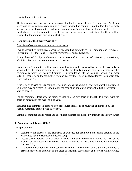### Faculty Immediate Past Chair

The Immediate Past Chair will serve as a consultant to the Faculty Chair. The Immediate Past Chair is responsible for administering annual elections for standing committees of the Faculty Assembly and will work with committees and faculty members to garner willing faculty who will be able to fulfill the needs of the committees. In the absence of an Immediate Past Chair, the Chair will be responsible for administering annual elections.

## <span id="page-4-0"></span>**C. Committees of the FacultyAssembly**

#### Overview of committee structure and governance

Faculty Assembly committees consist of five standing committees: 1) Promotion and Tenure, 2) Curriculum, 3) Admissions, 4) Student Performance, and 5) Executive.

A high level of faculty involvement is also presumed in a number of university, professional, administrative or ad hoc committees or task forces.

Each Standing Committee will be made up of faculty members elected by the faculty assembly or appointed by the administration. In the case that no faculty member runs for election to fill a committee vacancy, the Executive Committee, in consultation with the Dean, will appoint a member to fill a 1-year term on the committee. Members serve three- year, staggered terms which begin July 1 and end June 30.

If the term of service for any committee member or chair is temporarily or permanently interrupted, an interim may be elected (or appointed in the case of an appointed position) to fulfill the vacant term as needed.

For all committee decisions, the majority shall rule on any decision brought to a vote, with the decision defeated in the event of a tie vote.

Each standing committee adopts its own procedures that are to be reviewed and ratified by the Faculty Assembly before going into effect.

Standing committee chairs report and coordinate business for the faculty through the Faculty Chair.

## <span id="page-4-1"></span>**1. Promotion and Tenure (PTC)**

## Responsibilities

- Adhere to the processes and standards of evidence for promotion and tenure detailed in the University Faculty Handbook, Section II.M;
- Assess each candidate for promotion or tenure and make a recommendation to the Dean of the College of Optometry and University Provost as detailed in the University Faculty Handbook, Section II.M;
- The recommendation shall be a concise narrative. The summary will state the Committee's assessment of each candidate in the areas of teaching, scholarship, and service, with reference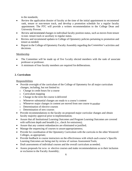to the standards;

- Review the application dossier of faculty at the time of the initial appointment to recommend rank, tenure or non-tenure track, and develop a promotion schedule for a regular faculty appointment. The PTC will provide a written recommendation to the College Dean and University Provost.
- Review and recommend changes in individual faculty position status, such as moves from tenure to non- tenure track or auxiliary to regular status.
- Review and recommend updates to College of Optometry policies pertaining to promotion and tenure as needed;
- Report to the College of Optometry Faculty Assembly regarding the Committee's activities and decisions.

# Membership

- The Committee will be made up of five f a culty elected members with the rank of associate professor or professor.
- A minimum of four faculty members are required for deliberations.

# <span id="page-5-0"></span>**2. Curriculum**

Responsibilities

- Provide oversight of the curriculum of the College of Optometry for all major curriculum changes, including, but not limited to:
	- o Change in credit hours for a course
	- o Curriculum mapping
	- o Change in the term the course is delivered
	- o Whenever substantial changes are made to a course's content
	- o Whenever major changes in content are moved from one course to another
	- o Determination of elective courses
	- o Determination of new courses
- Provide recommendations to the faculty on proposed major curricular changes and obtain faculty majority approval prior to implementation;
- Assure that all Institutional Learning Outcomes and Program Learning Outcomes are covered with sufficient depth and breadth (i.e., check for omissions);
- Assure that any content redundancies are eliminated or justified;
- Manage the sequencing of courses to assure appropriateness;
- Provide for coordination of the Optometry Curriculum with the curricula in the other WesternU Colleges, as appropriate;
- Provide feedback to course instructors on the effectiveness with which each course's Specific Learning Outcomes are being met by review of various Assessment Tools;
- Draft assessments of individual courses and the overall curriculum as needed;
- Assess proposals for new or elective courses and make recommendations as to their inclusion or exclusion to the Faculty Assembly;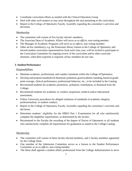- Coordinate curriculum efforts as needed with the Clinical Education Group
- Deal with other such matters as may arise throughout the year pertaining to the curriculum;
- Report to the College of Optometry Faculty Assembly regarding the committee's activities and decisions.

# **Membership**

- The committee will consist of five faculty elected members;
- The Associate Dean of Academic Affairs will serve as *ex-officio*, non-voting member;
- The Manager of Academic Programs will serve as *ex-officio*, non-voting member;
- Other *ad hoc* member(s), e.g. the Pumerantz library liaison to the College of Optometry and elected student curriculum representatives from each class year, will be invited to participate in the Curriculum Committee for ongoing review of the curriculum and/or other curricular elements, when their expertise is required; ad hoc members do not vote.

# <span id="page-6-0"></span>**3. Student Performance**

# **Responsibilities**

- Maintain academic, professional, and conduct standards within the College of Optometry;
- Develop and propose standards for dismissal, probation, good academic standing, based on gradepoint average, clinical performance, professional behavior, etc., to be included in the Catalog;
- Recommend students for academic promotion, probation, remediation, or dismissal from the College;
- Recommend students for academic or conduct suspension, medical and/or educational assessment;
- Follow University procedures for alleged violations of standards of academic integrity, professionalism, or student conduct;
- Report to the College of Optometry Faculty Assembly regarding the committee's activities and decisions;
- Determine students' eligibility for the NBEO Part 1 Examination for all who satisfactorily complete the eligibility requirements, as determined by the faculty;
- Recommend to the Faculty the awarding of the degree of Doctor of Optometry to all students who satisfactorily complete all requirements for graduation as stated in the College Catalog.

# **Membership**

- The committee will consist of three faculty elected members, and 2 faculty members appointed by the College Dean.
- One member of the Admission Committee serves as a liaison to the Student Performance Committee as an *ex-officio*, non-voting member.
- The Dean shall appoint a student affairs professional from the College Administration to serve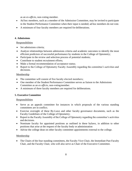as an *ex-officio*, non-voting member.

- Ad hoc members, such as a member of the Admission Committee, may be invited to participate in the Student Performance Committee when their input is needed; ad hoc members do not vote.
- A minimum of four faculty members are required for deliberations.

## <span id="page-7-0"></span>**4. Admissions**

## **Responsibilities**

- Set admissions criteria:
- Analyze relationships between admissions criteria and academic outcomes to identify the most efficient predictors of successful performance by students in the College of Optometry;
- Participate in the review and selection process of potential students;
- Contribute to student recruitment efforts;
- Make a formal recommendation of acceptance status;
- Report to the College of Optometry Faculty Assembly regarding the committee's activities and decisions.

# Membership

- The committee will consist of five faculty elected members;
- One member of the Student Performance Committee serves as liaison to the Admissions Committee as an *ex officio*, non-votingmember.
- A minimum of three faculty members are required for deliberations.

# <span id="page-7-1"></span>**5. Executive Committee**

# Responsibilities

- Serve as an appeals committee for instances in which proposals of the various standing committees are in conflict;
- Exercise oversight of these By-Laws and other faculty governance documents, such as the Faculty Guidelines of the College of Optometry;
- Report to the Faculty Assembly of the College of Optometry regarding the committee's activities and decisions.
- Nominate faculty for appointed positions as outlined in these bylaws, in addition to other positions that arise at the request of the faculty body or administration
- Advise the college dean on other faculty committee appointments external to the college.

# Membership

• The Chairs of the four standing committees, the Faculty Vice-Chair, the Immediate Past Faculty Chair, and the Faculty Chair, who will also serve as Chair of the Executive Committee.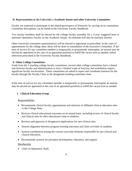## <span id="page-8-0"></span>**D. Representation to the University's Academic Senate and other University Committees**

Faculty are expected to participate in the shared governance of WesternU by serving on its committees. Committee descriptions can be found in the University Faculty Handbook.

Two faculty members shall be elected by the college faculty assembly for a 3-year staggered term to represent Optometry Faculty on the Academic Senate. An alternate will also be similarly elected.

Other University committee representatives will be elected or appointed as prescribed. In the cases of appointments by the college dean, these will be done in consultation of the Executive Committee. If the term of service for any committee member is temporarily or permanently interrupted, an interim may be elected (or appointed in the case of an appointed position) to fulfill the vacant term as needed, unless otherwise prescribed in the University Faculty Handbook.

## <span id="page-8-1"></span>**E. Other College Committees**

Aside from the 5 standing college faculty committees, several other college committees have a shared role between faculty and administration or have a limited scope of function, but nonetheless require significant faculty involvement. These committees are asked to report and coordinate business for the faculty through the Faculty Chair or the designated standing committee chair.

If the term of service for any committee member is temporarily or permanently interrupted, an interim may be elected (or appointed in the case of an appointed position) to fulfill the vacant term as needed.

# **1. Clinical Education Group**

## **Responsibilities**

- Recommends clinical faculty appointments and selection of affiliated clinical education sites to the College dean;
- Reviews clinical educational outcomes on an annual basis, including review of clinical faculty and clinical sites for their educational value to students;
- Reviews and approves or disapproves applications for new clinical sites
- Assures alignment between program learning outcomes and clinic activities of students;
- Assures coordination among the various curricular elements responsible for pre-clinical and clinical education;
- Recommends systems for preceptor development, education, and support

## Membership

• Chief of Optometric Staff;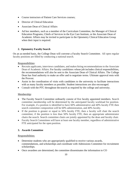- Course instructors of Patient Care Services courses;
- Director of Clinical Education
- Associate Dean of Clinical Affairs
- Ad hoc members, such as a member of the Curriculum Committee, the Manager of Clinical Education Programs, Chiefs of Services in the Eye Care Institute, or the Associate Dean of Academic Affairs may be invited to participate in the Optometry Clinical Education Group when their input is required.

# **2. Optometry Faculty Search**

On an as-needed basis, the College Dean will convene a Faculty Search Committee. All open regular faculty positions are filled by conducting a national search.

# Responsibilities:

- Recruits applicants, interviews candidates, and makes hiring recommendations to the Associate Dean of Academic Affairs. For faculty candidates whose job includes clinical responsibilities, the recommendations will also be sent to the Associate Dean of Clinical Affairs. The College Dean has final authority to make an offer and to negotiate terms. Ultimate approval rests with the Provost.
- Assist in the coordination of visits with candidates to the university to facilitate interactions with as many faculty members as possible. Student interactions are also encouraged.
- Consult with the PTC throughout the search as required by the college and university.

# Membership:

- The Faculty Search Committee ordinarily consist of five faculty appointed members. Search committee membership will be determined by the anticipated faculty workload for position. For example, if a position is identified to have 60% administrative and 40% faculty FTE then search committee composition will be 60% administration, and 40% faculty.
- If the position is greater or equal to 50% faculty FTE, then a faculty will chair the search committee; if the position is less than 50% faculty FTE, then an appropriate administrator chairs the search. Search committee chairs are jointly appointed by the dean and faculty chair.
- Faculty Search Committees will have at least one faculty member, regardless of administrative FTE anticipated for the open position.

# **3. Awards Committee**

## Responsibilities:

- Determine students who are appropriately qualified to receive various awards, commendations, and scholarships and coordinate with Admissions Committee for recruitment scholarships.
- Once awardees are determined, the committee disseminates the information to CO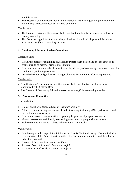administration.

• The Awards Committee works with administration in the planning and implementation of Honors Day and Commencement Awards Ceremony.

# Membership:

- The Optometry Awards Committee shall consist of three faculty members, elected by the Faculty Assembly.
- The Dean shall appoint a student affairs professional from the College Administration to serve as an *ex-officio*, non-voting member.

# **4. Continuing Education Review Committee**

# Responsibilities:

- Review proposals for continuing education courses (both in-person and on-line courses) to ensure quality of material prior to presentation.
- Review evaluations and other feedback assessing delivery of continuing education courses for continuous quality improvement.
- Provide direction and guidance in strategic planning for continuing education programs.

# Membership:

- The Continuing Education Review Committee shall consist of two faculty members appointed by the College Dean
- The Director of Continuing Education serves as an *ex-officio*, non-voting member.

# **5. Assessment Committee**

# Responsibilities:

- Collect and share aggregated data at least once annually.
- Address issues regarding assessment of student learning, including NBEO performance, and pre-matriculation measures.
- Review and make recommendations regarding the process of program assessment.
- Monitor assessment activities by connecting assessment to program improvement.
- Make recommendations to College Administration and Faculty.

# Membership:

- Four faculty members appointed jointly by the Faculty Chair and College Dean to include a representative of the Admissions Committee, the Curriculum Committee, and the Clinical EducationCommittee
- Director of Program Assessment, *ex-officio*
- Assistant Dean of Academic Support, *ex-officio*
- Associate Dean of Academic Affairs, *ex-officio*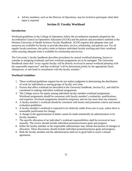• Ad hoc members, such as the Director of Operations, may be invited to participate when their input is required.

# **Section II**: **Faculty Workload**

## <span id="page-11-0"></span>**Introduction**

Workload guidelines in the College of Optometry follow the accreditation standards adopted by the Accreditation Council on Optometric Education (ACOE) and the policies and procedures outlined in the Western University of Health Sciences Faculty Handbook. ACOE requires that adequate time and resources are available for faculty to provide education, service, scholarship, and patient care. For all regular faculty positions, this policy seeks to balance individual faculty teaching and clinic workload while assuring adequate time is available for scholarship and service.

The University's faculty handbook describes procedures for annual workload planning, factors to consider in assigning workload, and how overload assignments are to be managed. The University Handbook states that "every regular faculty will be directly involved in annual workload planning with the responsible supervisor" and that workload "will be determined jointly by the appropriate Dean, chairperson, or unit head in consultation with the faculty member."

## **Workload Guidelines**

- 1. These workload guidelines support but do not replace judgment in determining the distribution of work for individuals or among groups of faculty over time.
- 2. Factors that affect workload are described in the University handbook, Section II.L, and shall be considered in making individual workload assignments.
- 3. The College strives for equity among individual faculty member workload assignments. Workload assignments should be consistent with faculty member's credentials, qualifications, and expertise. Overload assignments should be temporary and not last more than one semester.
- 4. A faculty member's workload should be consistent with tenure and promotion criteria and annual evaluation guidelines.
- 5. A faculty member's workload is expected to be relatively stable from year to year, unless there is reasonable justification for change.
- 6. A change in the apportionment of duties cannot be made unilaterally by administrators or by faculty members.
- 7. The specific allocation of an individual's workload responsibilities shall be reviewed at least annually. The review should include individual promotion/tenure goals and progress.
- 8. Either the faculty member or the responsible administrator may initiate discussions of changes in allocation. These discussions should include individual promotion/tenure goals and progress.
- 9. Both the faculty member and the administration shall act in good faith to reach a mutual agreement.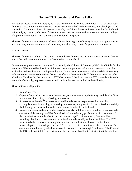# **Section III**: **Promotion and Tenure Policy**

<span id="page-12-0"></span>For regular faculty hired after July 1, 2018, the Promotion and Tenure Committee (PTC) of Optometry follows the Institutional Promotion and Tenure Policy described in the University Handbook (II:M and Appendix V) and the College of Optometry Faculty Guidelines described below. Regular faculty hired before July 1, 2018 may choose to follow the current polices mentioned above or the previous College of Optometry Promotion and Tenure Guidelines found in Appendix 1.

The PTC follows the University Handbook policies for categories of faculty hires, initial appointments and contracts, tenure/non-tenure track transfers, and eligibility criteria for promotion and tenure.

## **A. PTC Dossier**

The PTC follows the policy of the University Handbook for constructing a promotion or tenure dossier with a few additional requirements, as described in the Handbook.

Evaluation for promotion and tenure will be made by the College of Optometry PTC. An eligible faculty member will be invited by the Chair of the PTC to submit pertinent information pertaining to his/her evaluation no later than one month preceding the Committee's due date for such materials. Noteworthy information pertaining to the review that occurs after the due date for P&T Committee review may be added to a file either by the candidate or PTC chair up until the time when the PTC's due date for such materials. Ordinarily, requested materials will include but are not limited to the following:

The candidate shall provide:

- 1. An updated C.V.
- 2. Copies of any and all documents that support, or are evidence of, the faculty candidate's efforts in the areas of teaching, scholarship, and service.
- 3. A narrative self-study. The narrative should include four (4) separate sections detailing accomplishments in teaching, scholarship, and service, and plans for future professional activity. Additionally, an introduction and conclusion section should be included.
- 4. Names, addresses, and email addresses of at least six individuals who could serve as an outside evaluator of the faculty candidate's professional and scholarly performance. At least three of these evaluators should be able to provide 'arms- length' reviews; that is, free from bias, including bias due to close personal or professional relationship with the candidate. The PTC understands that to have a meaningful evaluation the evaluator will have a professional relationship to a certain degree but the PTC's concern is to ensure that it is free from bias. The candidate should identify which names on the list are the 'arms-length' evaluators. The Chair of the PTC will solicit letters of review, and the candidate should not contact potential evaluators.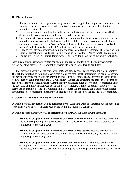The PTC shall provide:

- 1. Student, peer, and outside group teaching evaluations, as applicable. Emphasis is to be placed on summative forms of evaluation, and formative evaluations should not be included in the promotion review file.
- 2. From the candidate's annual contracts during the evaluation period, the proportion of effort distributed between teaching, scholarship/research, and service.
- 3. Two to four letters of evaluation of scholarship from 'arms-length' reviewers, including but not limited to names provided by the faculty candidate. If there is a perceived conflict, the faculty candidate reserves the right to "contest" any of these evaluators but must provide a justifiable reason. The PTC must have at least 2 evaluations for the faculty candidate.
- 4. Three to five letters of evaluation from individuals selected by the candidate. These may be from persons internal or external to the University and do not need to be 'arms-length' evaluations.
- 5. For Tenure review All annual tenure review reports by the PTC prior to the tenure evaluation.

Letters from outside reviewers remain confidential and are not available for the faculty candidate to review. All other material in the promotion review file is open to the faculty candidate.

It is the joint responsibility of the chair of the PTC and faculty candidate to assure the file is complete. Through the narrative self-study, the candidate makes the case that the information in her or his review file meets or exceeds the criteria for promotion and/or tenure. If there is any information that is absent from the faculty candidate's file, the PTC will review the file and determine the appropriate course of action (there may be a circumstance where the faculty candidate made every effort to complete his/her file but some of the information was out of the faculty candidate's ability to obtain). If the dossier is deemed to be incomplete, the P&T Committee may request that the faculty candidate provide further documentation to complete the dossier by a deadline to be established by the college P&T committee.

## **B. Optometry Promotion & Tenure Standards**

Evaluation of auxiliary faculty will be performed by the Associate Dean of Academic Affairs according to the distribution of effort that has been negotiated in the member's contract.

Evaluations of regular faculty will be performed by the PTC, using the following standards:

**Promotion or appointment to associate professor with tenure** requires excellence in teaching and scholarship with quality participation in service appropriate to rank, and the promise of continued professional growth.

**Promotion or appointment to associate professor without tenure** requires excellence in teaching and at least good performance in the other two areas of evaluation, and the promise of continued professional growth.

**Promotion or appointment to full professor with tenure** requires continued professional development and sustained records of accomplishment in all three areas (scholarship, teaching and service), demonstrated excellence in teaching and scholarship, with high standards in service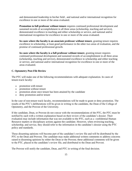and demonstrated leadership in his/her field , and national and/or international recognition for excellence in one or more of the areas evaluated.

**Promotion to full professor without tenure** requires continued professional development and sustained records of accomplishment in all three areas (scholarship, teaching and service), demonstrated excellence in teaching and either scholarship or service, and national and/or international recognition for excellence in one or more of the areas evaluated.

**In cases where the faculty is an associate professor without tenure**, granting tenure requires excellence in scholarship, at least good performance in the other two areas of evaluation, and the promise of continued professional growth.

**In cases where the faculty is a full professor without tenure**, granting tenure requires continued professional development and sustained records of accomplishment in all three areas (scholarship, teaching and service), demonstrated excellence in scholarship and either teaching or service, and national and/or international recognition for excellence in one or more of the areas evaluated.

## **C. Optometry Post-File Review**

The PTC will make one of the following recommendations with adequate explanation. In cases of tenure-track faculty:

- promotion with tenure
- promotion without tenure
- promotion alone once tenure has been attained by the candidate
- deny promotion and/or tenure

In the case of non-tenure track faculty, recommendations will be made to grant or deny promotion. The results of the PTC's deliberations will be given in writing to the candidate, the Dean of the College of Optometry, and the Provost of the University.

If the candidate, Dean, or Provost do not concur with the recommendations of the PTC, the PTC must be notified by each with a written explanation based on their review of the candidate's dossier. Their evaluation may include information that was not available to the PTC, such as a confidential Human Resource matters or disciplinary actions against the candidate. However, when reviewing teaching, scholarship, and service, they should refer to the information in the candidate's dossier using the PTC policy and standards.

These dissenting opinions will become part of the candidate's review file and will be distributed by the PTC to the Dean and Provost. The candidate may make additional written comments to address concerns raised in dissenting opinions by either the Dean or the Provost; these additional comments will be given to the PTC, placed in the candidate's review file, and distributed to the Dean and Provost.

The Provost will notify the candidate, Dean, and PTC in writing of the final decision.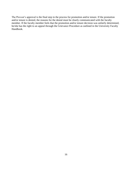The Provost's approval is the final step in the process for promotion and/or tenure. If the promotion and/or tenure is denied, the reasons for the denial must be clearly communicated with the faculty member. If the faculty member feels that the promotion and/or tenure decision was unfairly determined, he/she has the right to an appeal through the Grievance Procedure as outlined in the University Faculty Handbook.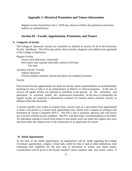## **Appendix 1: Historical Promotion and Tenure Information**

<span id="page-16-0"></span>Regular faculty hired before July 1, 2018 may choose to follow the promotion and tenure policies as outlined below.

## **Section III - Faculty Appointment, Promotion, and Tenure**

#### **A. Categories of faculty**

The College of Optometry faculty are classified as detailed in section III B of the University Faculty Handbook. The following outline shows faculty categories and subdivisions appointed in the College of Optometry:

Regular Faculty Tenure track (full-time, contracted) Non-tenure track (annual renewable contract) Full time Part time

Auxiliary Faculty Visiting Adjunct Research Clinical (unpaid volunteer clinical preceptors for students) Emeritus

Faculty

Non-tenured faculty appointments are made for faculty whose responsibilities are predominantly teaching (in class or lab) or as an administrator of didactic or clinical programs. In the area of service, all regular faculty are expected to contribute to the growth of the institution and participate in activities within the professional community. In the area of scholarship, all regular faculty are expected to demonstrate evidence of research and/or scholarly activity as defined within this document.

A faculty member who wishes to transfer from a tenure track to a non-tenure track appointment or from a non-tenure to a tenure track appointment may submit such a request in writing to the Promotion & Tenure Committee (PTC). The PTCs role is primarily advisory and will review any concerns with the faculty candidate. The PTC will then make a recommendation to the Dean. An individual seeking to switch from tenure to non-tenure track can make this request only once and must make this request prior to the submission of an application for tenure.

#### **B. Initial Appointment**

At the time of the initial appointment, all negotiations will be made regarding the College of primary appointment, category, initial rank, credit for time in rank at other institutions, time remaining until eligibility for the next step in promotion or tenure, and initial tenure. Consideration will be given to the faculty member's prior academic rank and tenure status, if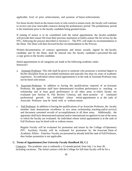applicable, level of prior achievements, and promise of future achievements.

For those faculty hired on the tenure-track or who switch to tenure-track, the faculty will continue to receive one-year renewable contracts during the probationary period. The probationary period is the timeframe prior to the faculty candidate being granted tenure.

If ranting of tenure is to be considered with the initial appointment, the faculty candidate will provide their tenure file from their previous institution or build a tenure file for review by the PTC, following the process described in Section G. The PTC will make its recommendation to the Dean. The Dean will then forward his/her recommendation to the Provost.

Written documentation of contract agreements and tenure awards, signed by the faculty candidate and by the Dean, shall be entered into the faculty candidate's personnel file and a copy given to the faculty candidate.

Initial appointments in all categories are made at the following academic ranks: Instructor?

- a. Assistant Professor: This title shall be given to someone who possesses a terminal degree in his/her discipline from an accredited institution and typically less than six years of academic experience. An individual whose initial appointment is at the rank of Assistant Professor may not be hired with tenure.
- b. Associate Professor: In addition to having the qualifications required of an Assistant Professor, the appointee shall have demonstrated excellent performance in teaching or scholarship and at least good performance in all other areas in which faculty are evaluated (see Section H, File Review Criteria), and show promise of continued professional growth. An individual whose initial appointment is at the rank of Associate Professor may be hired with or without tenure.
- c. Full Professor: In addition to having the qualifications of an Associate Professor, the faculty member must demonstrate excellence in two areas (scholarship, teaching and/or service) and document sustained records of accomplishment in all three areas. Additionally, the appointee shall have demonstrated national and/or international recognition in one of the areas in which the faculty are evaluated. An individual whose initial appointment is at the rank of Full Professor may be hired with or without tenure.

Regular Faculty will be evaluated for promotion and tenure by the College of Optometry PTC. Auxiliary Faculty will be evaluated for promotion by the Associate Dean of Academic Affairs. Emeritus Faculty are presumed to already hold the rank of Full Professor, thus further promotion is not applicable.

### **C. Terms of Appointment [See** *University Faculty Handbook* **III, C.]**

Contracts: The academic year is ordinarily a 12-month period, from July 1 to June 30, including vacations. The initial contract with the College for full-time faculty will be for a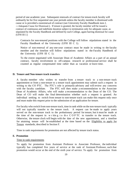period of one academic year. Subsequent renewals of contract for tenure-track faculty will ordinarily be for five sequential one year periods unless the faculty member is dismissed with cause or is provided a nonrenewal of contract (see University Faculty Handbook item J, ―Adequate Cause for Dismissal.). If tenure is granted, the faculty member will be issued a contract of continuous and indefinite duration subject to termination only for adequate cause, as stipulated by the Faculty Handbook and defined by each College, again barring dismissal for cause (UFH III J.)

Contracts for non-tenured positions with the College will follow stipulations stated in the Faculty Handbook of the University (UFH III C 1).

Notice of non-renewal of any one-year contract must be made in writing to the faculty member and the timeline will follow stipulations stated in the Faculty Handbook of the University (UFH III C 1).

To the extent negotiated with Associate Dean of Academic Affairs as a part of an annual contract, faculty involvement in off-campus research or professional service shall be counted as regular compensated time rather than as vacation or leave time.

## **D. Tenure and Non-tenure track transfers**

A faculty member who wishes to transfer from a tenure track to a non-tenure track appointment or from a non-tenure to a tenure track appointment may submit such a request in writing to the CO PTC. The PTC's role is primarily advisory and will review any concerns with the faculty candidate. The PTC will then make a recommendation to the Associate Dean of Academic Affairs, who will make a recommendation to the Dean of the CO. The Dean of CO will make the final determination whether such a request is granted. An individual seeking to switch from tenure to non-tenure track can make this request only once and must make this request prior to the submission of an application for tenure.

For faculty who switch from non-tenure track, time in rank while on the non-tenure track typically will not typically transfer to the tenure track. A request can be made to apply years served on the non-tenure track to the probationary period for tenure, but it must be made at the time of the request in  $\mathbf w$  r iting to the COPTC to transfer to the tenure track. Otherwise, the tenure clock will begin with the date of the new appointment, and a timeline for attaining tenure will be established at the time based on the Eligibility to apply for Tenure standards, described in Section F.

Time in rank requirements for promotion are not affected by tenure track status.

## **E. Promotion**

#### Time in rank requirements

To apply for promotion from Assistant Professor to Associate Professor, the individual typically has completed five years of service at the rank of Assistant Professor, such that promotion would occur at the end of the sixth year of service. To apply for promotion from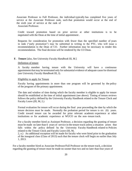Associate Professor to Full Professor, the individual typically has completed five years of service at the Associate Professor rank, such that promotion would occur at the end of the sixth year of service at the rank of

Associate Professor.

Credit toward promotion based on prior service at other institutions is to be negotiated with the Dean at the time of initial appointment .

Requests for consideration for promotion with fewer than the specified number of years in rank ("early promotion") may be submitted in writing to the PTC, who will issue a recommendation to the Dean of CO. Further information may be necessary to render this recommendation. The final decision will be rendered by the CO Dean.

#### **F. Tenure** [also, See University *Faculty Handbook* III, M.]

#### Definition of tenure

A faculty member having tenure with the University will have a continuous appointment that may be terminated only for substantial evidence of adequate cause for dismissal (see University *Faculty Handbook* III, J).

#### Eligibility to apply for Tenure

Faculty having appointments in more than one program will be governed by the policy of the program of the primary appointment.

The date and window of time during which the faculty member is eligible to apply for tenure should be established at the time of initial appointment (see above). Timing of tenure reviews follows the policy defined by the University Faculty Handbook related to the Tenure Clock and Faculty Leave (III, M, 2.)

Formal evaluation for tenure will occur during the final year proceeding the date by which the tenure decision must be made. Normally the probation period for tenure is six (6) years. Credit toward tenure can be awarded for prior relevant academic experience at other institutions or for academic experience at WUCO on the non- tenure track.

For a faculty member hired as Assistant Professor, a decision regarding the granting of tenure must be made no later than 6 years of service in the tenure-track unless a situation arises that falls within the policy defined by the University Faculty Handbook related to Policies related to the Tenure Clock and Faculty Leave (III, M,

2, o.) An additional exception will be made for faculty who were hired prior to the graduation of the inaugural class (Class of 2013) such that the tenure clock will begin no earlier than July 1, 2013.

For a faculty member hired as Associate Professor/Full Professor on the tenure track, a decision regarding the granting of tenure must be made no sooner than two and no later than four years of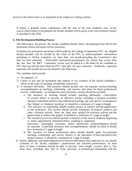service in the tenure-track or as stipulated in the employee's hiring contract.

If tenure is granted, tenure commences with the start of the next academic year. In any case in which tenure is not granted, the faculty member will be given a one-year terminal contract as specified in the UFH.

#### **G. File Development/Building Process**

The following is the process the faculty candidate should follow developing his/her file for the promotion review and tenure review processes.

Evaluation for promotion and tenure will be made by the College of Optometry PTC. An eligible faculty member will be invited by the Chair of the PTC to submit pertinent information pertaining to his/her evaluation no later than one month preceding the Committee's due date for such materials. Noteworthy information pertaining to the review that occurs after the due date for P&T Committee review may be added to a file either by the candidate or PTC chair up until the time when the PTC's due date for such materials. Ordinarily, requested materials will include but are not limited to the following:

The candidate shall provide:

- 1) An updated C.V.
- 2) Copies of any and all documents that support or are evidence of the faculty candidate's efforts in the areas of teaching, scholarship, and service
- 3) A narrative self-study. The narrative should include four (4) separate sections detailing accomplishments in teaching, scholarship, and service, and plans for future professional activity. Additionally, an introduction and conclusion section should be included.
	- a. The narrative on teaching should include: teaching philosophy, a description of overall efforts to become an effective teacher including a synopsis of student and peer evaluations and how they influenced teaching, and any special circumstances that helped or hindered teaching. It should be a minimum of 1 page in length.
	- b. The narrative on scholarship should explain area(s) of interest and the significance to the profession. This section should include summaries of research projects and other scholarly activity. State the long term goal(s) for scholarly activity and the general plan to achieve the goal(s). It should be a minimum of 1 page in length.
	- c. The narrative on service should provide a summary of the service rendered, beginning at initial appointment. Sustained efforts resulting in supportive, innovative, meaningful outcomes, and/or meritorious acknowledgment, should be reported. Leadership positions and accomplishments should be noted. It should be a minimum of 1 page in length.
	- d. The narrative on future professional plans should identify goals for continued teaching, scholarship, and service relative to the allocation of time specified in the annual contract. It should be a minimum of 1 page in length.
- 4) Names, addresses, and email addresses of at least six individuals who could serve as an outside evaluator of the faculty candidate's professional and scholarly performance. At least three of these evaluators should be able to provide 'arms- length' reviews; that is, free from bias, including bias due to close personal or professional relationship with the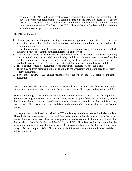candidate. The PTC understands that to have a meaningful evaluation the evaluator will have a professional relationship to a certain degree but the PTC's concern is to ensure that it is free from bias. The candidate should identify which names on the list are the 'arms-length' evaluators. The Chair of the PTC will solicit letters of review, and the candidate should not contact potential evaluators.

The PTC shall provide:

- 1. Student, peer, and outside group teaching evaluations, as applicable. Emphasis is to be placed on summative forms of evaluation, and formative evaluations should not be included in the promotion review file.
- 2. From the candidate's annual contracts during the evaluation period, the proportion of effort distributed between teaching, scholarship/research, and service.
- 3. Two to four letters of evaluation of scholarship from 'arms-length' reviewers, including but not limited to names provided by the faculty candidate. If there is a perceived conflict, the faculty candidate reserves the right to "contest" any of these evaluators but must provide a justifiable reason. The PTC must have at least 2 evaluations for the faculty candidate.
- 4. Three to five letters of evaluation from individuals selected by the candidate. These may be from persons internal or external to the University and do not need to be 'armslength' evaluations.
- 5. For Tenure review All annual tenure review reports by the PTC prior to the tenure evaluation.

Letters from outside reviewers remain confidential and are not available for the faculty candidate to review. All other material in the promotion review file is open to the faculty candidate.

Before submitting a narrative self-study, the faculty candidate will have the opportunity to review teaching evaluations and all tenure review reports in applicable cases. In addition, before the chair of the PTC recruits outside evaluators that were not included in the candidate's list, she or he will consult with the candidate to determine who could provide an 'arms-length' review.

It is the joint responsibility of the chair of the PTC and faculty candidate to assure the file is complete. Through the narrative self-study, the candidate makes the case that the information in her or his review file meets or exceeds the criteria for promotion and/or tenure. If there is any information that is absent from the faculty candidate's file, the PTC will review the file and determine the appropriate course of action (there may be a circumstance where the faculty candidate made every effort to complete his/her file but some of the information was out of the faculty candidate's ability to obtain).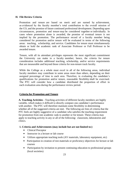## **H. File Review Criteria**

Promotion and tenure are based on merit and are earned by achievement, as evidenced by the faculty member's total contribution to the overall mission of the CO, and the promise of future continued professional development. Depending upon circumstances, promotion and tenure may be considered together or individually. In cases where promotion alone is awarded, the promise of eventual tenure is not implied by the promotion. The performance record of a faculty member being considered for promotion and/or tenure will be evaluated in terms of the following areas: teaching, scholarship, and service. Candidates for tenure must simultaneously obtain or hold the academic rank of Associate Professor or Full Professor to be awarded tenure.

Tenure, with all its attendant privileges represents the most significant commitment the University can make to a faculty member; hence, the criteria for tenure consideration includes additional teaching, scholarship, and/or service requirements that are measurable and beyond those criteria for non-tenure track faculty.

While the College as a whole must excel in all of the following areas, individual faculty members may contribute in some areas more than others, depending on their assigned percentage of time to each area. Therefore, in evaluating the candidate's qualifications for promotion and/or tenure, reasonable flexibility shall be exercised. The PTC will consider how a candidate distributed the proportion of effort in each evaluation area during the performance review period.

## **Criteria for Promotion and Tenure**

**A. Teaching Activities** - Teaching activities of different faculty members are highly variable, which makes it difficult to directly compare one candidate's performance with another. The PTC will therefore maintain some flexibility in determining whether all of the suggested criteria are met. The following are lists of criteria that the PTC feels are highly suggestive of a candidate who satisfies the teaching requirement for promotion from one academic rank to another or for tenure. These criteria may apply to teaching activity in any or all of the following: classroom, laboratories and clinics.

## **1. Criteria and Achievements (may include but are not limited to:)**

- Clinical Preceptor
- Instructor in a lecture or lab course
- Utilizes appropriate teaching tools (AV materials, laboratory equipment, etc)
- Participation in creation of test materials or proficiency objectives for lecture or lab courses
- Participation by invitation to present continuing education to professional groups (local societies)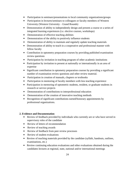- Participation in seminars/presentations to local community organizations/groups
- Participation in lectures/seminars to colleagues or faculty members of Western University (Western University – Grand Rounds)
- Demonstration of ability to independently design and present a course or a series of integrated learning experiences (i.e. elective courses, workshops)
- Demonstration of effective teaching abilities
- Demonstration of the ability to positively influence students
- Demonstration of ability to maintain and regularly update teaching materials
- Demonstration of ability to teach in a cooperative and professional manner with fellow faculty
- Contribution in optometry preparation courses by providing published examination review questions
- Participation by invitation in teaching program of other academic institutions
- Participation by invitation to present at nationally or internationally in an area of expertise
- Significant contribution in optometry preparation courses by providing a significant number of examination review questions and other review material.
- Participation in creation of manuals, chapters or textbooks
- Participation in mentoring of faculty members with less teaching experience
- Participation in mentoring of optometric students, resident, or graduate students in research or service projects
- Demonstration of contributions to interprofessional education
- Demonstration of the creation of innovative teaching methods
- Recognition of significant contributions earned/honorary appointments by professional organizations.

# **2. Evidence and Documentation**

- Review of feedback provided by individuals who currently are or who have served in supervisory roles of the candidate
- Review of letters of recommendation
- Review of teaching awards
- Review of feedback from peer review processes
- Review of student evaluations
- Review of teaching materials provided by the candidate (syllabi, handouts, outlines, examinations, etc.)
- Review continuing education evaluations and other evaluations obtained during the candidates lectures at regional, state, national and/or international meetings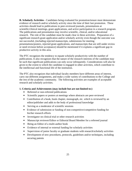**B. Scholarly Activities** - Candidates being evaluated for promotion/tenure must demonstrate evidence of research and/or scholarly activity since the time of their last promotion. These activities should lead to publications in peer-reviewed journals, presentations at scientific/clinical meetings, grant applications, and active participation in a research program. The publications and presentation may involve scientific, clinical, and/or educational research. The role of the candidate must be made clear in these activities. Preparation of a significant research grant application and/or scholarly activity even though the outcome was not successful, (including rejected manuscripts, submissions for meeting presentations/posters, rejected grant applications, and manuscripts that are still under review or need revision before acceptance) should be mentioned if it explains a significant gap in productive activity in this area.

The PTC recognizes the tendency to equate scholarly productivity with the number of publications. It also recognizes that the nature of the research interests of the candidate may be such that significant publications can only occur infrequently. Considerations will also be given to the extent to which the candidate is engaged in other activities, which contribute to the intellectual and functional life of the institution.

The PTC also recognizes that individual faculty members have different areas of interest, carry out different assignments, and make a wide variety of contributions to the College and the rest of the academic community. The following activities are examples of acceptable research and scholarly activities.

## **1. Criteria and Achievements (may include but are not limited to:)**

- Refereed or non-refereed publications
- Scientific papers or posters at meetings where abstracts are peer-reviewed
- Contribution of a book, book chapter, monograph, etc. which is reviewed by an editor/publisher and adds to the body of professional knowledge
- Serving as a moderator of scientific sessions
- Evidence of submission or funding of non-competitive/competitive funding for his/her research efforts
- Investigator on clinical trial or other research activities
- Manuscript reviewer/Editor or Editorial Board Member for a refereed journal
- Being an Editor of a multi-author book
- Evidence of internal or external funding for scholarly activities
- Supervision of junior faculty or graduate students with research/scholarly activities
- Development of new procedures, protocols, guidelines and/or techniques, including securing patents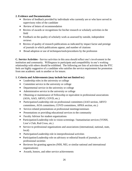# **2. Evidence and Documentation**

- Review of feedback provided by individuals who currently are or who have served in supervisory roles of the candidate
- Review of letters of recommendation
- Review of awards or recognitions for his/her research or scholarly activities in the field
- Feedback on the quality of scholarly work as assessed by outside, independent reviews
- Review of quality of research publications as indicated by impact factor and prestige of journals in which publications appear, and number of citations
- Broad adoption or use of techniques/tools/procedures by the profession

**C. Service Activities** - Service activities in this area should reflect one's involvement in the institution and community. Willingness to participate and compatibility in one's working relationship with others should be exhibited. The following are lists of activities that the PTC feels are highly suggestive of a candidate who satisfies the service requirement for promotion from one academic rank to another or for tenure.

# **1. Criteria and Achievements (may include but not limited to:)**

- Leadership roles in the university or college
- Committee service in the university or college
- Departmental service in the university or college
- Administrative service in the university or college
- Obtaining or maintenance of Fellowship or equivalent in professional associations (AOA, AAO, ARVO, COVD, etc.)
- Participation/Leadership role on professional committees (AAO section, ARVO committees, AOA committees, COVD committees, APHA section, etc.)
- Service-related presentations at professional meetings/seminars
- Presentations or providing educational services to the community
- Faculty Advisor for student organizations
- Participation/Leadership role in vision screenings / humanitarian services (VOSH, Lion's Club, Red Cross, etc.)
- Service to professional organizations and associations (international, national, state, local)
- Participation/Leadership role in interprofessional activities
- Participation/Leadership role on advisory or editorial boards of journals, or professional societies
- Reviewer for granting agencies (NIH, NEI, or similar national and international organizations)
- Awards, honors, and other service achievements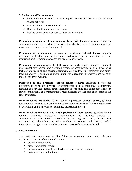## **2. Evidence and Documentation**

- Review of feedback from colleagues or peers who participated in the same/similar service activities
- Review of letters of recommendation
- Review of letters or acknowledgements
- Review of recognition or awards for service activities

**Promotion or appointment to associate professor with tenure** requires excellence in scholarship and at least good performance in the other two areas of evaluation, and the promise of continued professional growth.

**Promotion or appointment to associate professor without tenure** requires excellence in teaching and at least good performance in the other two areas of evaluation, and the promise of continued professional growth.

**Promotion or appointment to full professor with tenure** requires continued professional development and sustained records of accomplishment in all three areas (scholarship, teaching and service), demonstrated excellence in scholarship and either teaching or service, and national and/or international recognition for excellence in one or more of the areas evaluated.

**Promotion to full professor without tenure** requires continued professional development and sustained records of accomplishment in all three areas (scholarship, teaching and service), demonstrated excellence in teaching and either scholarship or service, and national and/or international recognition for excellence in one or more of the areas evaluated.

**In cases where the faculty is an associate professor without tenure**, granting tenure requires excellence in scholarship, at least good performance in the other two areas of evaluation, and the promise of continued professional growth.

**In cases where the faculty is a full professor without tenure**, granting tenure requires continued professional development and sustained records of accomplishment in all three areas (scholarship, teaching and service), demonstrated excellence in scholarship and either teaching or service, and national and/or international recognition for excellence in one or more of the areas evaluated.

# **I. Post-File Review**

The PTC will make one of the following recommendations with adequate explanation. In cases of tenure-track faculty:

- promotion with tenure
- promotion without tenure
- promotion alone once tenure has been attained by the candidate
- deny promotion and/or tenure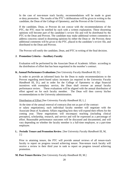In the case of non-tenure track faculty, recommendations will be made to grant or deny promotion. The results of the PTC's deliberations will be given in writing to the candidate, the Dean of the College of Optometry, and the Provost of the University.

If the candidate, Dean, or Provost do not concur with the recommendations of the PTC, the PTC must be notified by each with a written explanation. These dissenting opinions will become part of the candidate's review file and will be distributed by the PTC to the Dean and Provost. The candidate may make additional written comments to address concerns raised in dissenting opinions by either the Dean or the Provost; these additional comments will be given to the PTC, placed in the candidate's review file, and distributed to the Dean and Provost.

The Provost will notify the candidate, Dean, and PTC in writing of the final decision.

# **J. Promotion Criteria – Auxiliary Faculty**

Evaluation will be performed by the Associate Dean of Academic Affairs according to the distribution of effort that has been negotiated in the member's contract.

# **K. Annual Performance Evaluations** [See University *Faculty Handbook* III, D.]

In order to provide an informed basis for the Dean to make recommendations to the Provost regarding merit-based salary increases (as required in the University *Faculty Handbook* III, D.), and in order for the College of Optometry to align financial incentives with exemplary service, the Dean shall oversee an annual faculty performance review. These evaluations will be aligned with the annual distribution of effort agreed on for each faculty member. The Dean will then convey his/her recommendations to the University administration.

# Distribution of Effort [See University *Faculty Handbook* III, L.]

At the time of the annual renewal of contracts (but not as part of the contract or salary negotiations), each individual faculty member will negotiate with the Associate Dean of Academic Affairs regarding how they will expend their efforts for the coming year. These negotiations will encompass teaching (including clinical preceptor), scholarship, research, and service and will be expressed as a percentage of effort. Reasonable performance outcomes will be discussed and documented, and will vary depending on whether the faculty member is a full-time employee, or a part-time employee.

# **L. Periodic Tenure and Promotion Review**. [See University *Faculty Handbook* III, M, 2.]

Prior to attaining tenure, the PTC will provide annual reviews of all tenure-track faculty to report on progress toward achieving tenure. Non-tenure track faculty will receive a review in their third year in rank to report on progress toward achieving promotion.

# **M. Post-Tenure Review** [See University *Faculty Handbook* III, M.]